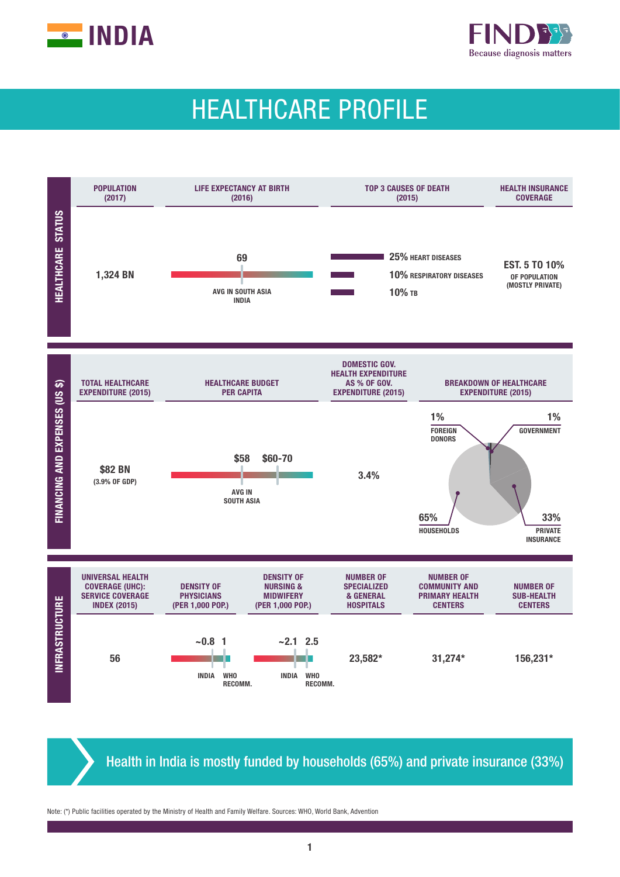



# HEALTHCARE PROFILE



Health in India is mostly funded by households (65%) and private insurance (33%)

Note: (\*) Public facilities operated by the Ministry of Health and Family Welfare. Sources: WHO, World Bank, Advention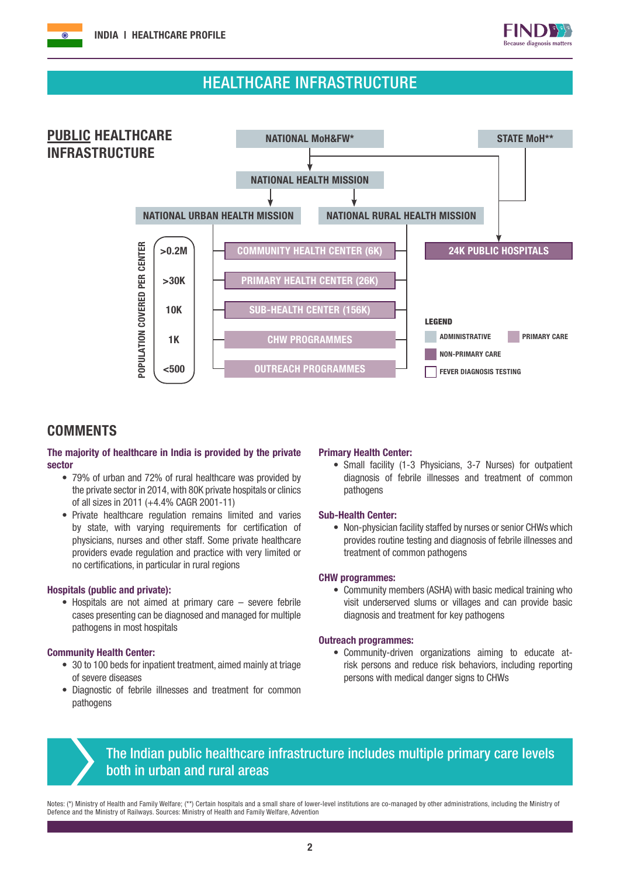

## HEALTHCARE INFRASTRUCTURE



## **COMMENTS**

## The majority of healthcare in India is provided by the private sector

- 79% of urban and 72% of rural healthcare was provided by the private sector in 2014, with 80K private hospitals or clinics of all sizes in 2011 (+4.4% CAGR 2001-11)
- Private healthcare regulation remains limited and varies by state, with varying requirements for certification of physicians, nurses and other staff. Some private healthcare providers evade regulation and practice with very limited or no certifications, in particular in rural regions

### Hospitals (public and private):

• Hospitals are not aimed at primary care – severe febrile cases presenting can be diagnosed and managed for multiple pathogens in most hospitals

### Community Health Center:

- 30 to 100 beds for inpatient treatment, aimed mainly at triage of severe diseases
- Diagnostic of febrile illnesses and treatment for common pathogens

### Primary Health Center:

• Small facility (1-3 Physicians, 3-7 Nurses) for outpatient diagnosis of febrile illnesses and treatment of common pathogens

### Sub-Health Center:

• Non-physician facility staffed by nurses or senior CHWs which provides routine testing and diagnosis of febrile illnesses and treatment of common pathogens

#### CHW programmes:

• Community members (ASHA) with basic medical training who visit underserved slums or villages and can provide basic diagnosis and treatment for key pathogens

#### Outreach programmes:

• Community-driven organizations aiming to educate atrisk persons and reduce risk behaviors, including reporting persons with medical danger signs to CHWs



## The Indian public healthcare infrastructure includes multiple primary care levels both in urban and rural areas

Notes: (\*) Ministry of Health and Family Welfare; (\*\*) Certain hospitals and a small share of lower-level institutions are co-managed by other administrations, including the Ministry of Defence and the Ministry of Railways. Sources: Ministry of Health and Family Welfare, Advention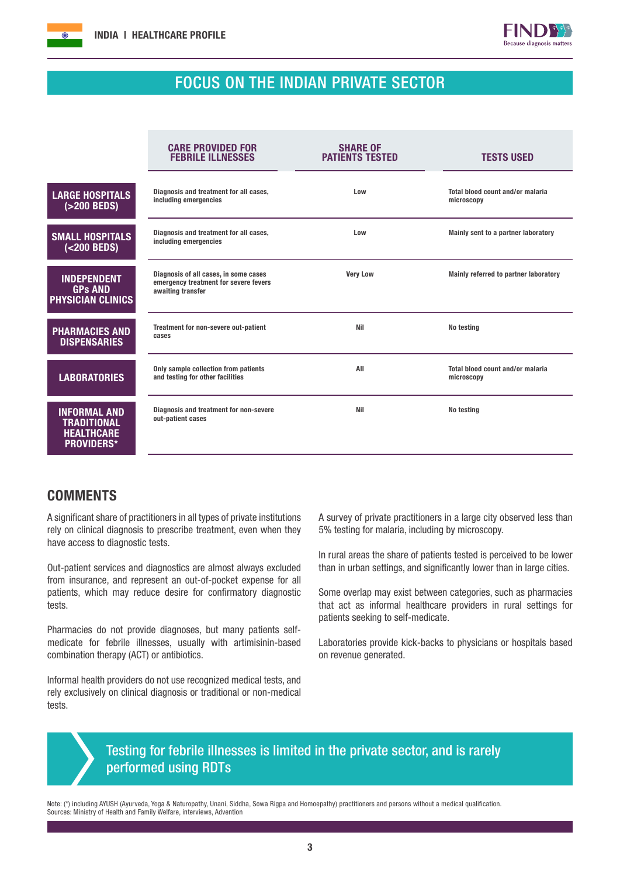



## FOCUS ON THE INDIAN PRIVATE SECTOR

|                                                                              | <b>CARE PROVIDED FOR</b><br><b>FEBRILE ILLNESSES</b>                                                | <b>SHARE OF</b><br><b>PATIENTS TESTED</b> | <b>TESTS USED</b>                              |
|------------------------------------------------------------------------------|-----------------------------------------------------------------------------------------------------|-------------------------------------------|------------------------------------------------|
| <b>LARGE HOSPITALS</b><br>$(>200$ BEDS)                                      | Diagnosis and treatment for all cases,<br>including emergencies                                     | Low                                       | Total blood count and/or malaria<br>microscopy |
| <b>SMALL HOSPITALS</b><br>$(<$ 200 BEDS)                                     | Diagnosis and treatment for all cases,<br>including emergencies                                     | Low                                       | Mainly sent to a partner laboratory            |
| <b>INDEPENDENT</b><br><b>GPs AND</b><br><b>PHYSICIAN CLINICS</b>             | Diagnosis of all cases, in some cases<br>emergency treatment for severe fevers<br>awaiting transfer | <b>Very Low</b>                           | Mainly referred to partner laboratory          |
| <b>PHARMACIES AND</b><br><b>DISPENSARIES</b>                                 | Treatment for non-severe out-patient<br>cases                                                       | <b>Nil</b>                                | No testing                                     |
| <b>LABORATORIES</b>                                                          | Only sample collection from patients<br>and testing for other facilities                            | All                                       | Total blood count and/or malaria<br>microscopy |
| <b>INFORMAL AND</b><br>TRADITIONAL<br><b>HEALTHCARE</b><br><b>PROVIDERS*</b> | Diagnosis and treatment for non-severe<br>out-patient cases                                         | <b>Nil</b>                                | No testing                                     |

## **COMMENTS**

A significant share of practitioners in all types of private institutions rely on clinical diagnosis to prescribe treatment, even when they have access to diagnostic tests.

Out-patient services and diagnostics are almost always excluded from insurance, and represent an out-of-pocket expense for all patients, which may reduce desire for confirmatory diagnostic tests.

Pharmacies do not provide diagnoses, but many patients selfmedicate for febrile illnesses, usually with artimisinin-based combination therapy (ACT) or antibiotics.

Informal health providers do not use recognized medical tests, and rely exclusively on clinical diagnosis or traditional or non-medical tests.

A survey of private practitioners in a large city observed less than 5% testing for malaria, including by microscopy.

In rural areas the share of patients tested is perceived to be lower than in urban settings, and significantly lower than in large cities.

Some overlap may exist between categories, such as pharmacies that act as informal healthcare providers in rural settings for patients seeking to self-medicate.

Laboratories provide kick-backs to physicians or hospitals based on revenue generated.

## Testing for febrile illnesses is limited in the private sector, and is rarely performed using RDTs

Note: (\*) including AYUSH (Ayurveda, Yoga & Naturopathy, Unani, Siddha, Sowa Rigpa and Homoepathy) practitioners and persons without a medical qualification. Sources: Ministry of Health and Family Welfare, interviews, Advention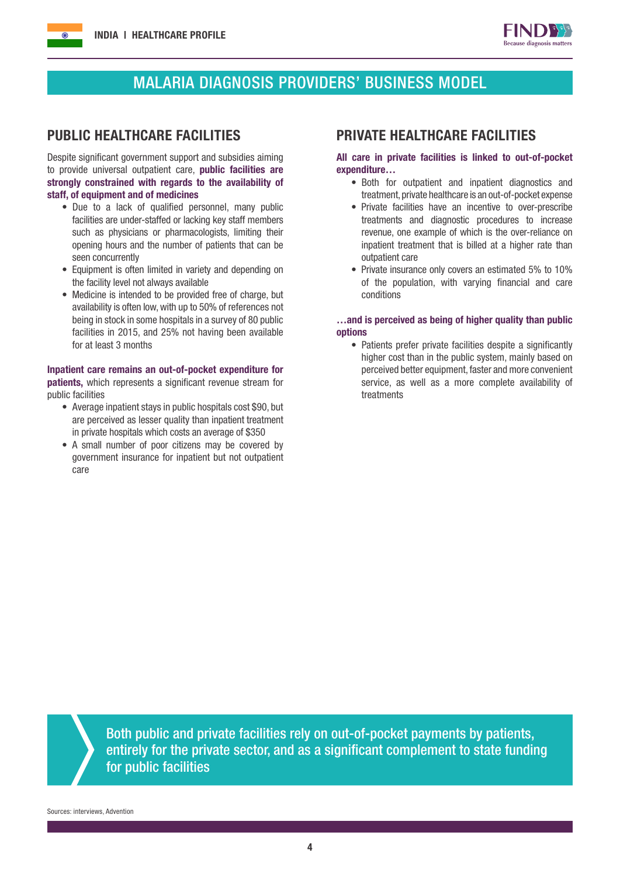

## MALARIA DIAGNOSIS PROVIDERS' BUSINESS MODEL

Despite significant government support and subsidies aiming to provide universal outpatient care, **public facilities are** strongly constrained with regards to the availability of staff, of equipment and of medicines

- Due to a lack of qualified personnel, many public facilities are under-staffed or lacking key staff members such as physicians or pharmacologists, limiting their opening hours and the number of patients that can be seen concurrently
- Equipment is often limited in variety and depending on the facility level not always available
- Medicine is intended to be provided free of charge, but availability is often low, with up to 50% of references not being in stock in some hospitals in a survey of 80 public facilities in 2015, and 25% not having been available for at least 3 months

Inpatient care remains an out-of-pocket expenditure for **patients.** which represents a significant revenue stream for public facilities

- Average inpatient stays in public hospitals cost \$90, but are perceived as lesser quality than inpatient treatment in private hospitals which costs an average of \$350
- A small number of poor citizens may be covered by government insurance for inpatient but not outpatient care

## PUBLIC HEALTHCARE FACILITIES PRIVATE HEALTHCARE FACILITIES

## All care in private facilities is linked to out-of-pocket expenditure…

- Both for outpatient and inpatient diagnostics and treatment, private healthcare is an out-of-pocket expense
- Private facilities have an incentive to over-prescribe treatments and diagnostic procedures to increase revenue, one example of which is the over-reliance on inpatient treatment that is billed at a higher rate than outpatient care
- Private insurance only covers an estimated 5% to 10% of the population, with varying financial and care conditions

### …and is perceived as being of higher quality than public options

• Patients prefer private facilities despite a significantly higher cost than in the public system, mainly based on perceived better equipment, faster and more convenient service, as well as a more complete availability of treatments

Both public and private facilities rely on out-of-pocket payments by patients, entirely for the private sector, and as a significant complement to state funding for public facilities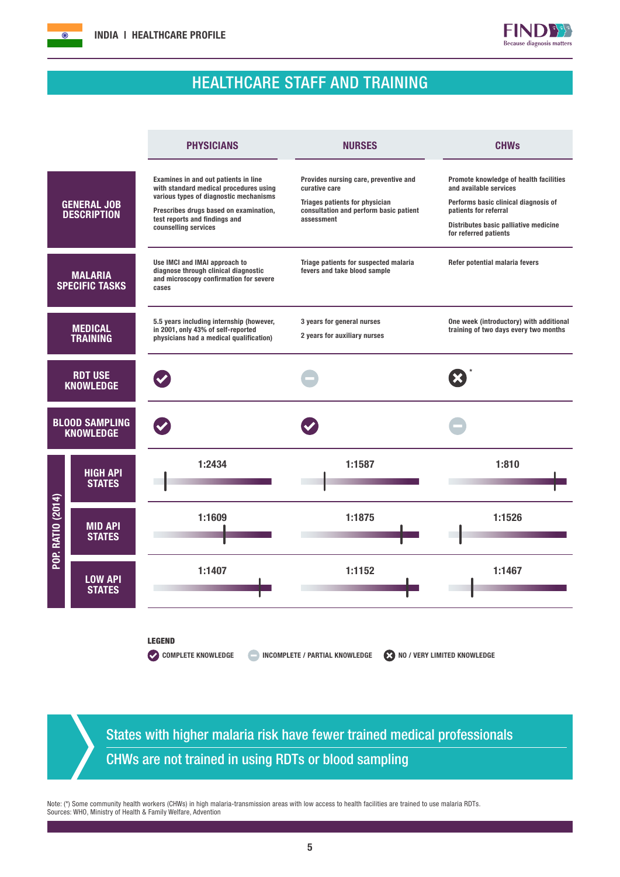



## HEALTHCARE STAFF AND TRAINING

|                                           |                                          | <b>PHYSICIANS</b>                                                                                                                                                                                                           | <b>NURSES</b>                                                                                                                                    | <b>CHWs</b>                                                                                                                                                                                         |
|-------------------------------------------|------------------------------------------|-----------------------------------------------------------------------------------------------------------------------------------------------------------------------------------------------------------------------------|--------------------------------------------------------------------------------------------------------------------------------------------------|-----------------------------------------------------------------------------------------------------------------------------------------------------------------------------------------------------|
|                                           | <b>GENERAL JOB</b><br><b>DESCRIPTION</b> | Examines in and out patients in line<br>with standard medical procedures using<br>various types of diagnostic mechanisms<br>Prescribes drugs based on examination,<br>test reports and findings and<br>counselling services | Provides nursing care, preventive and<br>curative care<br>Triages patients for physician<br>consultation and perform basic patient<br>assessment | Promote knowledge of health facilities<br>and available services<br>Performs basic clinical diagnosis of<br>patients for referral<br>Distributes basic palliative medicine<br>for referred patients |
| <b>MALARIA</b><br><b>SPECIFIC TASKS</b>   |                                          | Use IMCI and IMAI approach to<br>diagnose through clinical diagnostic<br>and microscopy confirmation for severe<br>cases                                                                                                    | Triage patients for suspected malaria<br>Refer potential malaria fevers<br>fevers and take blood sample                                          |                                                                                                                                                                                                     |
| <b>MEDICAL</b><br><b>TRAINING</b>         |                                          | 5.5 years including internship (however,<br>in 2001, only 43% of self-reported<br>physicians had a medical qualification)                                                                                                   | 3 years for general nurses<br>2 years for auxiliary nurses                                                                                       | One week (introductory) with additional<br>training of two days every two months                                                                                                                    |
| <b>RDT USE</b><br><b>KNOWLEDGE</b>        |                                          |                                                                                                                                                                                                                             |                                                                                                                                                  |                                                                                                                                                                                                     |
| <b>BLOOD SAMPLING</b><br><b>KNOWLEDGE</b> |                                          |                                                                                                                                                                                                                             |                                                                                                                                                  |                                                                                                                                                                                                     |
| <b>POP. RATIO (2014)</b>                  | <b>HIGH API</b><br><b>STATES</b>         | 1:2434                                                                                                                                                                                                                      | 1:1587                                                                                                                                           | 1:810                                                                                                                                                                                               |
|                                           | <b>MID API</b><br><b>STATES</b>          | 1:1609                                                                                                                                                                                                                      | 1:1875                                                                                                                                           | 1:1526                                                                                                                                                                                              |
|                                           | <b>LOW API</b><br><b>STATES</b>          | 1:1407                                                                                                                                                                                                                      | 1:1152                                                                                                                                           | 1:1467                                                                                                                                                                                              |
|                                           |                                          | <b>LEGEND</b><br><b>COMPLETE KNOWLEDGE</b>                                                                                                                                                                                  | <b>INCOMPLETE / PARTIAL KNOWLEDGE</b><br>NO / VERY LIMITED KNOWLEDGE                                                                             |                                                                                                                                                                                                     |

States with higher malaria risk have fewer trained medical professionals CHWs are not trained in using RDTs or blood sampling

Note: (\*) Some community health workers (CHWs) in high malaria-transmission areas with low access to health facilities are trained to use malaria RDTs. Sources: WHO, Ministry of Health & Family Welfare, Advention